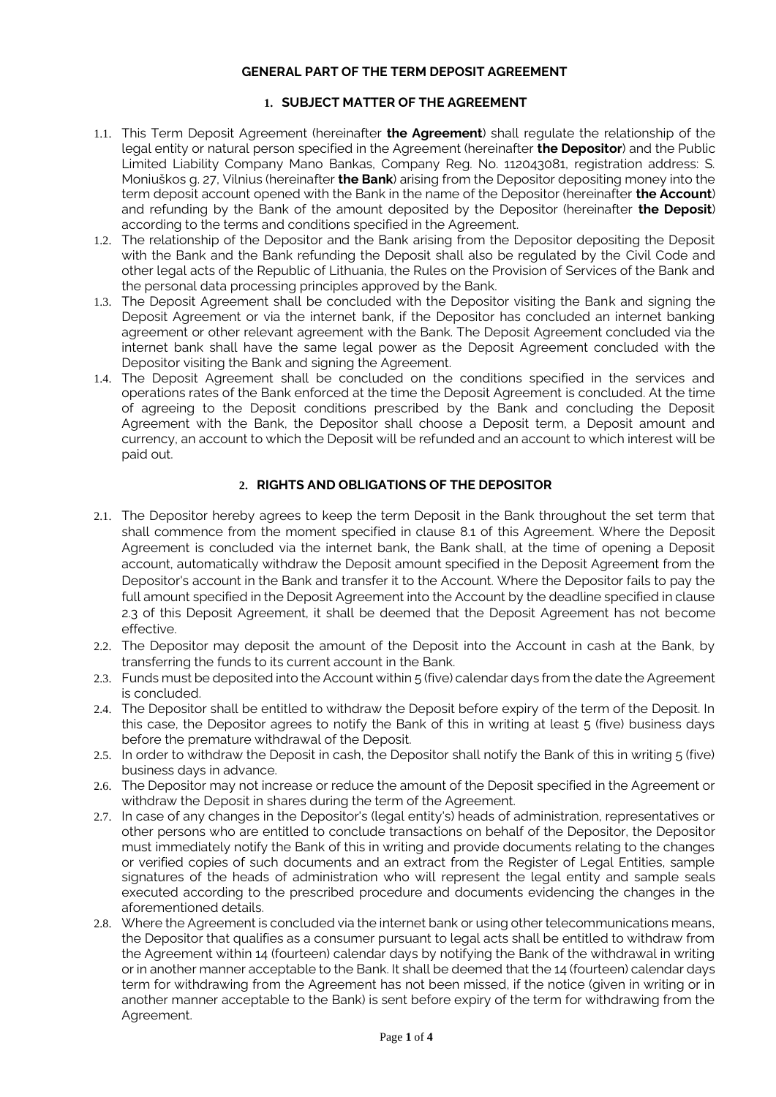#### **GENERAL PART OF THE TERM DEPOSIT AGREEMENT**

## **1. SUBJECT MATTER OF THE AGREEMENT**

- 1.1. This Term Deposit Agreement (hereinafter **the Agreement**) shall regulate the relationship of the legal entity or natural person specified in the Agreement (hereinafter **the Depositor**) and the Public Limited Liability Company Mano Bankas, Company Reg. No. 112043081, registration address: S. Moniuškos g. 27, Vilnius (hereinafter **the Bank**) arising from the Depositor depositing money into the term deposit account opened with the Bank in the name of the Depositor (hereinafter **the Account**) and refunding by the Bank of the amount deposited by the Depositor (hereinafter **the Deposit**) according to the terms and conditions specified in the Agreement.
- 1.2. The relationship of the Depositor and the Bank arising from the Depositor depositing the Deposit with the Bank and the Bank refunding the Deposit shall also be regulated by the Civil Code and other legal acts of the Republic of Lithuania, the Rules on the Provision of Services of the Bank and the personal data processing principles approved by the Bank.
- 1.3. The Deposit Agreement shall be concluded with the Depositor visiting the Bank and signing the Deposit Agreement or via the internet bank, if the Depositor has concluded an internet banking agreement or other relevant agreement with the Bank. The Deposit Agreement concluded via the internet bank shall have the same legal power as the Deposit Agreement concluded with the Depositor visiting the Bank and signing the Agreement.
- 1.4. The Deposit Agreement shall be concluded on the conditions specified in the services and operations rates of the Bank enforced at the time the Deposit Agreement is concluded. At the time of agreeing to the Deposit conditions prescribed by the Bank and concluding the Deposit Agreement with the Bank, the Depositor shall choose a Deposit term, a Deposit amount and currency, an account to which the Deposit will be refunded and an account to which interest will be paid out.

### **2. RIGHTS AND OBLIGATIONS OF THE DEPOSITOR**

- 2.1. The Depositor hereby agrees to keep the term Deposit in the Bank throughout the set term that shall commence from the moment specified in clause 8.1 of this Agreement. Where the Deposit Agreement is concluded via the internet bank, the Bank shall, at the time of opening a Deposit account, automatically withdraw the Deposit amount specified in the Deposit Agreement from the Depositor's account in the Bank and transfer it to the Account. Where the Depositor fails to pay the full amount specified in the Deposit Agreement into the Account by the deadline specified in clause 2.3 of this Deposit Agreement, it shall be deemed that the Deposit Agreement has not become effective.
- 2.2. The Depositor may deposit the amount of the Deposit into the Account in cash at the Bank, by transferring the funds to its current account in the Bank.
- 2.3. Funds must be deposited into the Account within 5 (five) calendar days from the date the Agreement is concluded.
- 2.4. The Depositor shall be entitled to withdraw the Deposit before expiry of the term of the Deposit. In this case, the Depositor agrees to notify the Bank of this in writing at least 5 (five) business days before the premature withdrawal of the Deposit.
- 2.5. In order to withdraw the Deposit in cash, the Depositor shall notify the Bank of this in writing 5 (five) business days in advance.
- 2.6. The Depositor may not increase or reduce the amount of the Deposit specified in the Agreement or withdraw the Deposit in shares during the term of the Agreement.
- 2.7. In case of any changes in the Depositor's (legal entity's) heads of administration, representatives or other persons who are entitled to conclude transactions on behalf of the Depositor, the Depositor must immediately notify the Bank of this in writing and provide documents relating to the changes or verified copies of such documents and an extract from the Register of Legal Entities, sample signatures of the heads of administration who will represent the legal entity and sample seals executed according to the prescribed procedure and documents evidencing the changes in the aforementioned details.
- 2.8. Where the Agreement is concluded via the internet bank or using other telecommunications means, the Depositor that qualifies as a consumer pursuant to legal acts shall be entitled to withdraw from the Agreement within 14 (fourteen) calendar days by notifying the Bank of the withdrawal in writing or in another manner acceptable to the Bank. It shall be deemed that the 14 (fourteen) calendar days term for withdrawing from the Agreement has not been missed, if the notice (given in writing or in another manner acceptable to the Bank) is sent before expiry of the term for withdrawing from the Agreement.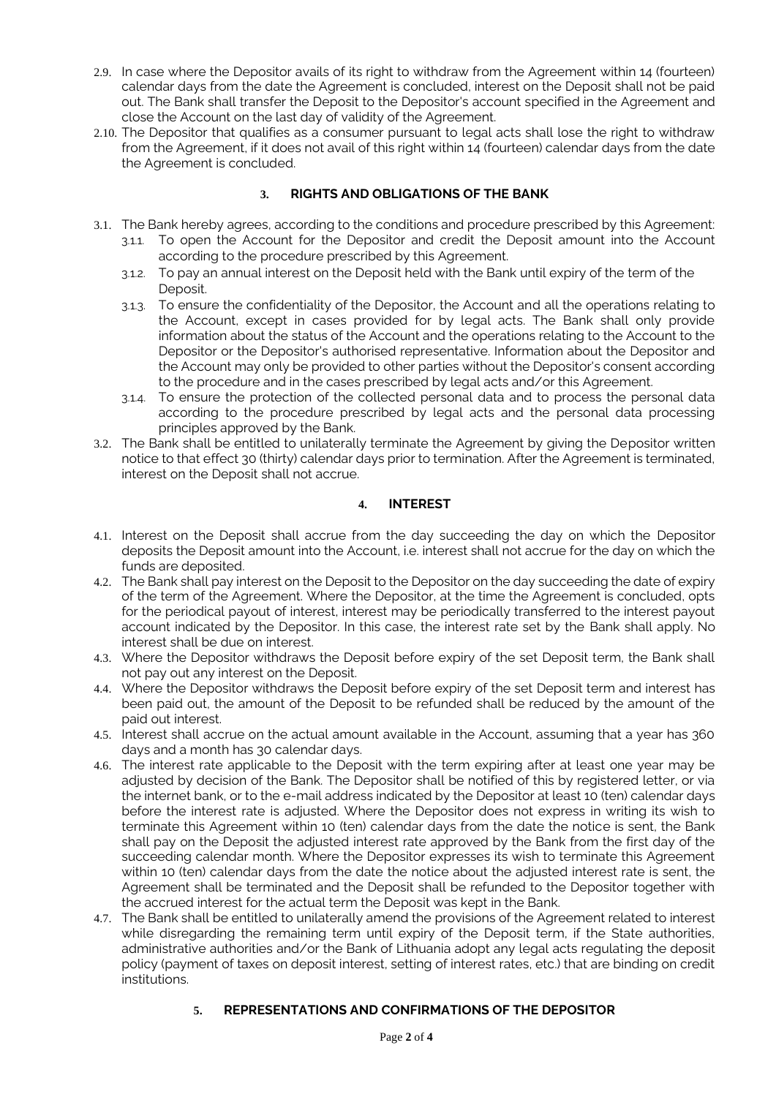- 2.9. In case where the Depositor avails of its right to withdraw from the Agreement within 14 (fourteen) calendar days from the date the Agreement is concluded, interest on the Deposit shall not be paid out. The Bank shall transfer the Deposit to the Depositor's account specified in the Agreement and close the Account on the last day of validity of the Agreement.
- 2.10. The Depositor that qualifies as a consumer pursuant to legal acts shall lose the right to withdraw from the Agreement, if it does not avail of this right within 14 (fourteen) calendar days from the date the Agreement is concluded.

## **3. RIGHTS AND OBLIGATIONS OF THE BANK**

- 3.1. The Bank hereby agrees, according to the conditions and procedure prescribed by this Agreement:
	- 3.1.1. To open the Account for the Depositor and credit the Deposit amount into the Account according to the procedure prescribed by this Agreement.
	- 3.1.2. To pay an annual interest on the Deposit held with the Bank until expiry of the term of the Deposit.
	- 3.1.3. To ensure the confidentiality of the Depositor, the Account and all the operations relating to the Account, except in cases provided for by legal acts. The Bank shall only provide information about the status of the Account and the operations relating to the Account to the Depositor or the Depositor's authorised representative. Information about the Depositor and the Account may only be provided to other parties without the Depositor's consent according to the procedure and in the cases prescribed by legal acts and/or this Agreement.
	- 3.1.4. To ensure the protection of the collected personal data and to process the personal data according to the procedure prescribed by legal acts and the personal data processing principles approved by the Bank.
- 3.2. The Bank shall be entitled to unilaterally terminate the Agreement by giving the Depositor written notice to that effect 30 (thirty) calendar days prior to termination. After the Agreement is terminated, interest on the Deposit shall not accrue.

### **4. INTEREST**

- 4.1. Interest on the Deposit shall accrue from the day succeeding the day on which the Depositor deposits the Deposit amount into the Account, i.e. interest shall not accrue for the day on which the funds are deposited.
- 4.2. The Bank shall pay interest on the Deposit to the Depositor on the day succeeding the date of expiry of the term of the Agreement. Where the Depositor, at the time the Agreement is concluded, opts for the periodical payout of interest, interest may be periodically transferred to the interest payout account indicated by the Depositor. In this case, the interest rate set by the Bank shall apply. No interest shall be due on interest.
- 4.3. Where the Depositor withdraws the Deposit before expiry of the set Deposit term, the Bank shall not pay out any interest on the Deposit.
- 4.4. Where the Depositor withdraws the Deposit before expiry of the set Deposit term and interest has been paid out, the amount of the Deposit to be refunded shall be reduced by the amount of the paid out interest.
- 4.5. Interest shall accrue on the actual amount available in the Account, assuming that a year has 360 days and a month has 30 calendar days.
- <span id="page-1-0"></span>4.6. The interest rate applicable to the Deposit with the term expiring after at least one year may be adjusted by decision of the Bank. The Depositor shall be notified of this by registered letter, or via the internet bank, or to the e-mail address indicated by the Depositor at least 10 (ten) calendar days before the interest rate is adjusted. Where the Depositor does not express in writing its wish to terminate this Agreement within 10 (ten) calendar days from the date the notice is sent, the Bank shall pay on the Deposit the adjusted interest rate approved by the Bank from the first day of the succeeding calendar month. Where the Depositor expresses its wish to terminate this Agreement within 10 (ten) calendar days from the date the notice about the adjusted interest rate is sent, the Agreement shall be terminated and the Deposit shall be refunded to the Depositor together with the accrued interest for the actual term the Deposit was kept in the Bank.
- <span id="page-1-1"></span>4.7. The Bank shall be entitled to unilaterally amend the provisions of the Agreement related to interest while disregarding the remaining term until expiry of the Deposit term, if the State authorities, administrative authorities and/or the Bank of Lithuania adopt any legal acts regulating the deposit policy (payment of taxes on deposit interest, setting of interest rates, etc.) that are binding on credit institutions.

# **5. REPRESENTATIONS AND CONFIRMATIONS OF THE DEPOSITOR**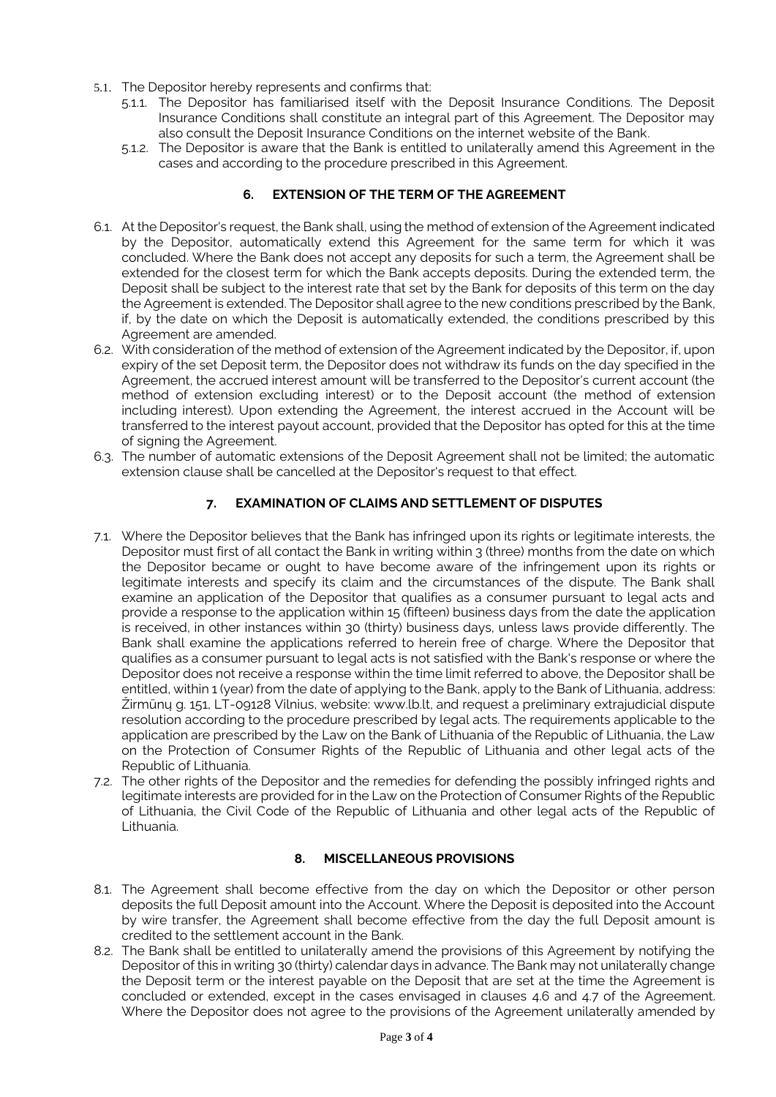- 5.1. The Depositor hereby represents and confirms that:
	- 5.1.1. The Depositor has familiarised itself with the Deposit Insurance Conditions. The Deposit Insurance Conditions shall constitute an integral part of this Agreement. The Depositor may also consult the Deposit Insurance Conditions on the internet website of the Bank.
	- 5.1.2. The Depositor is aware that the Bank is entitled to unilaterally amend this Agreement in the cases and according to the procedure prescribed in this Agreement.

### **6. EXTENSION OF THE TERM OF THE AGREEMENT**

- 6.1. At the Depositor's request, the Bank shall, using the method of extension of the Agreement indicated by the Depositor, automatically extend this Agreement for the same term for which it was concluded. Where the Bank does not accept any deposits for such a term, the Agreement shall be extended for the closest term for which the Bank accepts deposits. During the extended term, the Deposit shall be subject to the interest rate that set by the Bank for deposits of this term on the day the Agreement is extended. The Depositor shall agree to the new conditions prescribed by the Bank, if, by the date on which the Deposit is automatically extended, the conditions prescribed by this Agreement are amended.
- 6.2. With consideration of the method of extension of the Agreement indicated by the Depositor, if, upon expiry of the set Deposit term, the Depositor does not withdraw its funds on the day specified in the Agreement, the accrued interest amount will be transferred to the Depositor's current account (the method of extension excluding interest) or to the Deposit account (the method of extension including interest). Upon extending the Agreement, the interest accrued in the Account will be transferred to the interest payout account, provided that the Depositor has opted for this at the time of signing the Agreement.
- 6.3. The number of automatic extensions of the Deposit Agreement shall not be limited; the automatic extension clause shall be cancelled at the Depositor's request to that effect.

# **7. EXAMINATION OF CLAIMS AND SETTLEMENT OF DISPUTES**

- 7.1. Where the Depositor believes that the Bank has infringed upon its rights or legitimate interests, the Depositor must first of all contact the Bank in writing within 3 (three) months from the date on which the Depositor became or ought to have become aware of the infringement upon its rights or legitimate interests and specify its claim and the circumstances of the dispute. The Bank shall examine an application of the Depositor that qualifies as a consumer pursuant to legal acts and provide a response to the application within 15 (fifteen) business days from the date the application is received, in other instances within 30 (thirty) business days, unless laws provide differently. The Bank shall examine the applications referred to herein free of charge. Where the Depositor that qualifies as a consumer pursuant to legal acts is not satisfied with the Bank's response or where the Depositor does not receive a response within the time limit referred to above, the Depositor shall be entitled, within 1 (year) from the date of applying to the Bank, apply to the Bank of Lithuania, address: Žirmūnų g. 151, LT-09128 Vilnius, website: www.lb.lt, and request a preliminary extrajudicial dispute resolution according to the procedure prescribed by legal acts. The requirements applicable to the application are prescribed by the Law on the Bank of Lithuania of the Republic of Lithuania, the Law on the Protection of Consumer Rights of the Republic of Lithuania and other legal acts of the Republic of Lithuania.
- 7.2. The other rights of the Depositor and the remedies for defending the possibly infringed rights and legitimate interests are provided for in the Law on the Protection of Consumer Rights of the Republic of Lithuania, the Civil Code of the Republic of Lithuania and other legal acts of the Republic of Lithuania.

# **8. MISCELLANEOUS PROVISIONS**

- 8.1. The Agreement shall become effective from the day on which the Depositor or other person deposits the full Deposit amount into the Account. Where the Deposit is deposited into the Account by wire transfer, the Agreement shall become effective from the day the full Deposit amount is credited to the settlement account in the Bank.
- 8.2. The Bank shall be entitled to unilaterally amend the provisions of this Agreement by notifying the Depositor of this in writing 30 (thirty) calendar days in advance. The Bank may not unilaterally change the Deposit term or the interest payable on the Deposit that are set at the time the Agreement is concluded or extended, except in the cases envisaged in clauses [4.6](#page-1-0) and [4.7](#page-1-1) of the Agreement. Where the Depositor does not agree to the provisions of the Agreement unilaterally amended by